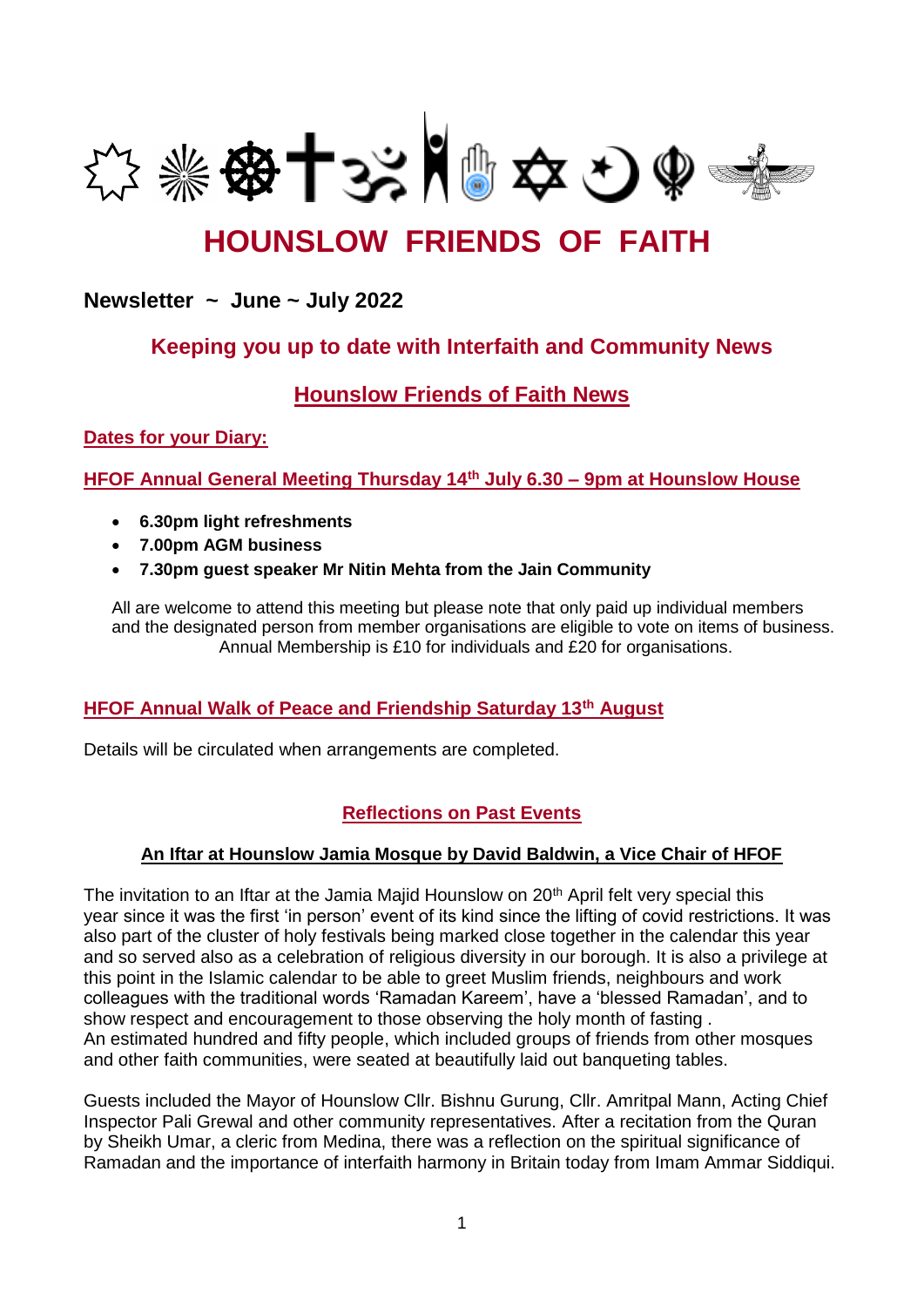

# **HOUNSLOW FRIENDS OF FAITH**

## **Newsletter ~ June ~ July 2022**

# **Keeping you up to date with Interfaith and Community News**

# **Hounslow Friends of Faith News**

**Dates for your Diary:**

**HFOF Annual General Meeting Thursday 14th July 6.30 – 9pm at Hounslow House**

- **6.30pm light refreshments**
- **7.00pm AGM business**
- **7.30pm guest speaker Mr Nitin Mehta from the Jain Community**

All are welcome to attend this meeting but please note that only paid up individual members and the designated person from member organisations are eligible to vote on items of business. Annual Membership is £10 for individuals and £20 for organisations.

## **HFOF Annual Walk of Peace and Friendship Saturday 13th August**

Details will be circulated when arrangements are completed.

## **Reflections on Past Events**

## **An Iftar at Hounslow Jamia Mosque by David Baldwin, a Vice Chair of HFOF**

The invitation to an Iftar at the Jamia Majid Hounslow on 20<sup>th</sup> April felt very special this year since it was the first 'in person' event of its kind since the lifting of covid restrictions. It was also part of the cluster of holy festivals being marked close together in the calendar this year and so served also as a celebration of religious diversity in our borough. It is also a privilege at this point in the Islamic calendar to be able to greet Muslim friends, neighbours and work colleagues with the traditional words 'Ramadan Kareem', have a 'blessed Ramadan', and to show respect and encouragement to those observing the holy month of fasting . An estimated hundred and fifty people, which included groups of friends from other mosques and other faith communities, were seated at beautifully laid out banqueting tables.

Guests included the Mayor of Hounslow Cllr. Bishnu Gurung, Cllr. Amritpal Mann, Acting Chief Inspector Pali Grewal and other community representatives. After a recitation from the Quran by Sheikh Umar, a cleric from Medina, there was a reflection on the spiritual significance of Ramadan and the importance of interfaith harmony in Britain today from Imam Ammar Siddiqui.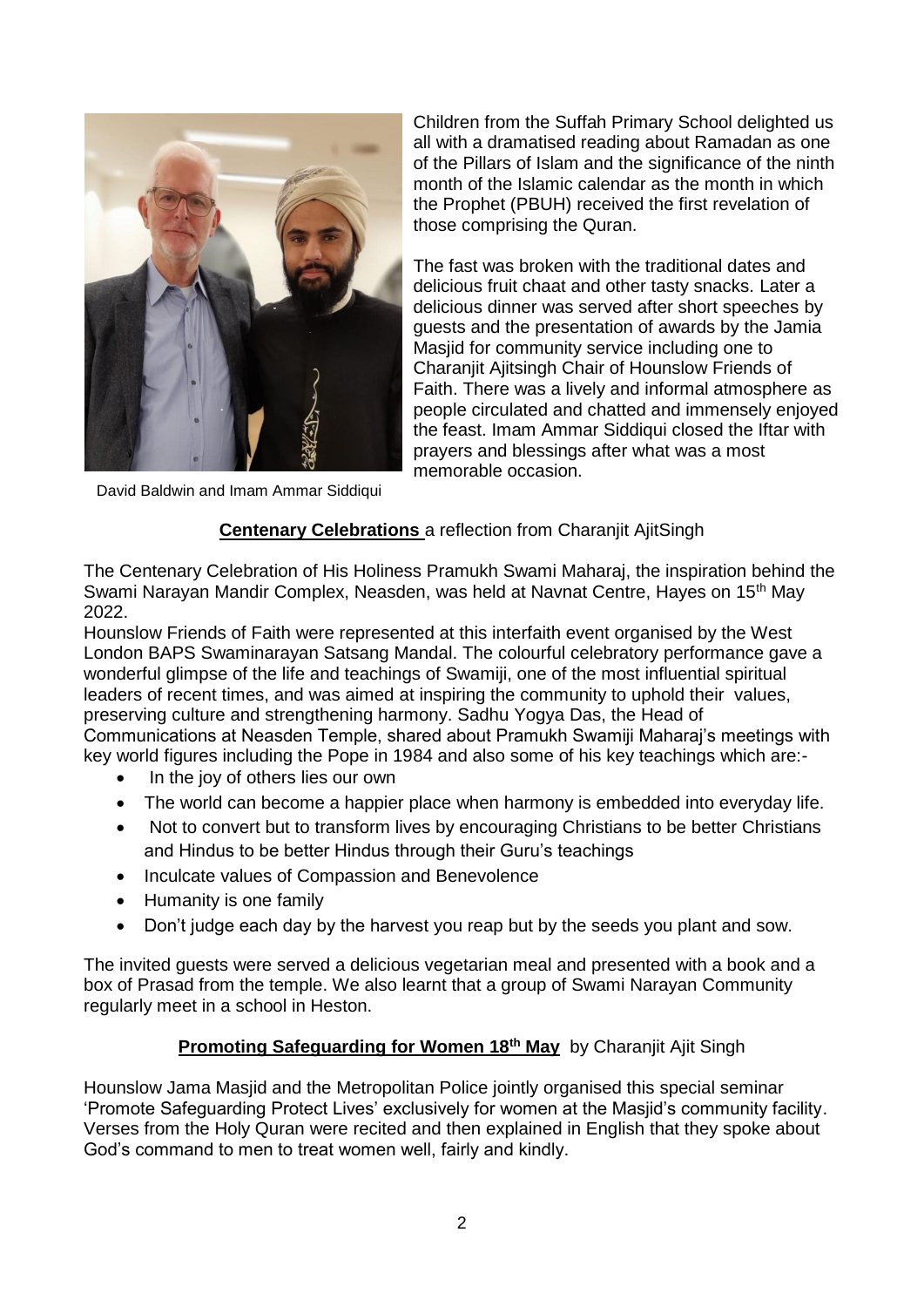

David Baldwin and Imam Ammar Siddiqui

Children from the Suffah Primary School delighted us all with a dramatised reading about Ramadan as one of the Pillars of Islam and the significance of the ninth month of the Islamic calendar as the month in which the Prophet (PBUH) received the first revelation of those comprising the Quran.

The fast was broken with the traditional dates and delicious fruit chaat and other tasty snacks. Later a delicious dinner was served after short speeches by guests and the presentation of awards by the Jamia Masjid for community service including one to Charanjit Ajitsingh Chair of Hounslow Friends of Faith. There was a lively and informal atmosphere as people circulated and chatted and immensely enjoyed the feast. Imam Ammar Siddiqui closed the Iftar with prayers and blessings after what was a most memorable occasion.

## **Centenary Celebrations** a reflection from Charanjit AjitSingh

The Centenary Celebration of His Holiness Pramukh Swami Maharaj, the inspiration behind the Swami Narayan Mandir Complex, Neasden, was held at Navnat Centre, Hayes on 15th May 2022.

Hounslow Friends of Faith were represented at this interfaith event organised by the West London BAPS Swaminarayan Satsang Mandal. The colourful celebratory performance gave a wonderful glimpse of the life and teachings of Swamiji, one of the most influential spiritual leaders of recent times, and was aimed at inspiring the community to uphold their values, preserving culture and strengthening harmony. Sadhu Yogya Das, the Head of Communications at Neasden Temple, shared about Pramukh Swamiji Maharaj's meetings with key world figures including the Pope in 1984 and also some of his key teachings which are:-

- In the joy of others lies our own
- The world can become a happier place when harmony is embedded into everyday life.
- Not to convert but to transform lives by encouraging Christians to be better Christians and Hindus to be better Hindus through their Guru's teachings
- Inculcate values of Compassion and Benevolence
- Humanity is one family
- Don't judge each day by the harvest you reap but by the seeds you plant and sow.

The invited guests were served a delicious vegetarian meal and presented with a book and a box of Prasad from the temple. We also learnt that a group of Swami Narayan Community regularly meet in a school in Heston.

## **Promoting Safeguarding for Women 18th May** by Charanjit Ajit Singh

Hounslow Jama Masjid and the Metropolitan Police jointly organised this special seminar 'Promote Safeguarding Protect Lives' exclusively for women at the Masjid's community facility. Verses from the Holy Quran were recited and then explained in English that they spoke about God's command to men to treat women well, fairly and kindly.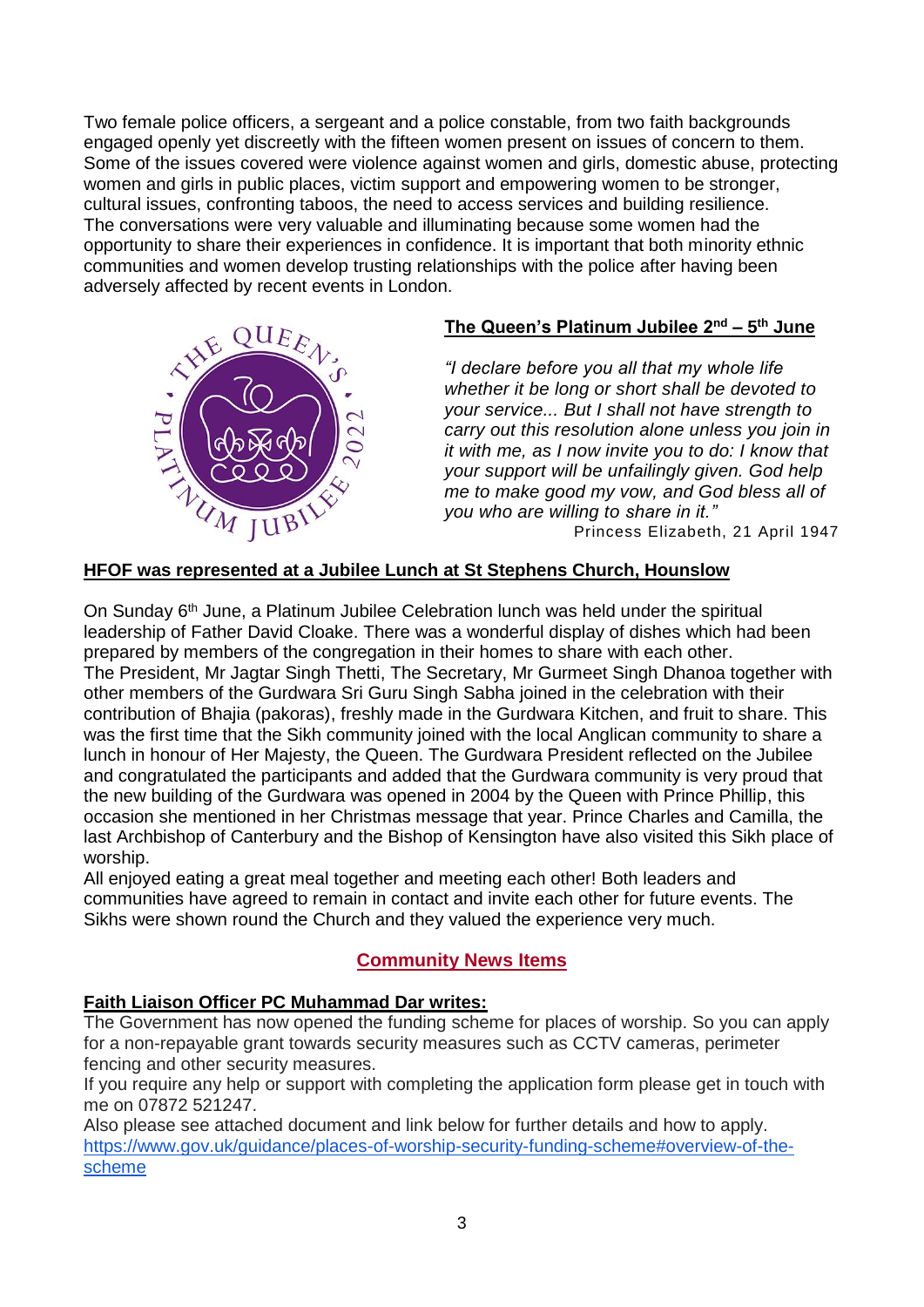Two female police officers, a sergeant and a police constable, from two faith backgrounds engaged openly yet discreetly with the fifteen women present on issues of concern to them. Some of the issues covered were violence against women and girls, domestic abuse, protecting women and girls in public places, victim support and empowering women to be stronger, cultural issues, confronting taboos, the need to access services and building resilience. The conversations were very valuable and illuminating because some women had the opportunity to share their experiences in confidence. It is important that both minority ethnic communities and women develop trusting relationships with the police after having been adversely affected by recent events in London.



## **The Queen's Platinum Jubilee 2nd – 5 th June**

*"I declare before you all that my whole life whether it be long or short shall be devoted to your service... But I shall not have strength to carry out this resolution alone unless you join in it with me, as I now invite you to do: I know that your support will be unfailingly given. God help me to make good my vow, and God bless all of you who are willing to share in it."* Princess Elizabeth, 21 April 1947

## **HFOF was represented at a Jubilee Lunch at St Stephens Church, Hounslow**

On Sunday 6<sup>th</sup> June, a Platinum Jubilee Celebration lunch was held under the spiritual leadership of Father David Cloake. There was a wonderful display of dishes which had been prepared by members of the congregation in their homes to share with each other. The President, Mr Jagtar Singh Thetti, The Secretary, Mr Gurmeet Singh Dhanoa together with other members of the Gurdwara Sri Guru Singh Sabha joined in the celebration with their contribution of Bhajia (pakoras), freshly made in the Gurdwara Kitchen, and fruit to share. This was the first time that the Sikh community joined with the local Anglican community to share a lunch in honour of Her Majesty, the Queen. The Gurdwara President reflected on the Jubilee and congratulated the participants and added that the Gurdwara community is very proud that the new building of the Gurdwara was opened in 2004 by the Queen with Prince Phillip, this occasion she mentioned in her Christmas message that year. Prince Charles and Camilla, the last Archbishop of Canterbury and the Bishop of Kensington have also visited this Sikh place of worship.

All enjoyed eating a great meal together and meeting each other! Both leaders and communities have agreed to remain in contact and invite each other for future events. The Sikhs were shown round the Church and they valued the experience very much.

## **Community News Items**

## **Faith Liaison Officer PC Muhammad Dar writes:**

The Government has now opened the funding scheme for places of worship. So you can apply for a non-repayable grant towards security measures such as CCTV cameras, perimeter fencing and other security measures.

If you require any help or support with completing the application form please get in touch with me on 07872 521247.

Also please see attached document and link below for further details and how to apply. [https://www.gov.uk/guidance/places-of-worship-security-funding-scheme#overview-of-the](https://www.gov.uk/guidance/places-of-worship-security-funding-scheme#overview-of-the-scheme)[scheme](https://www.gov.uk/guidance/places-of-worship-security-funding-scheme#overview-of-the-scheme)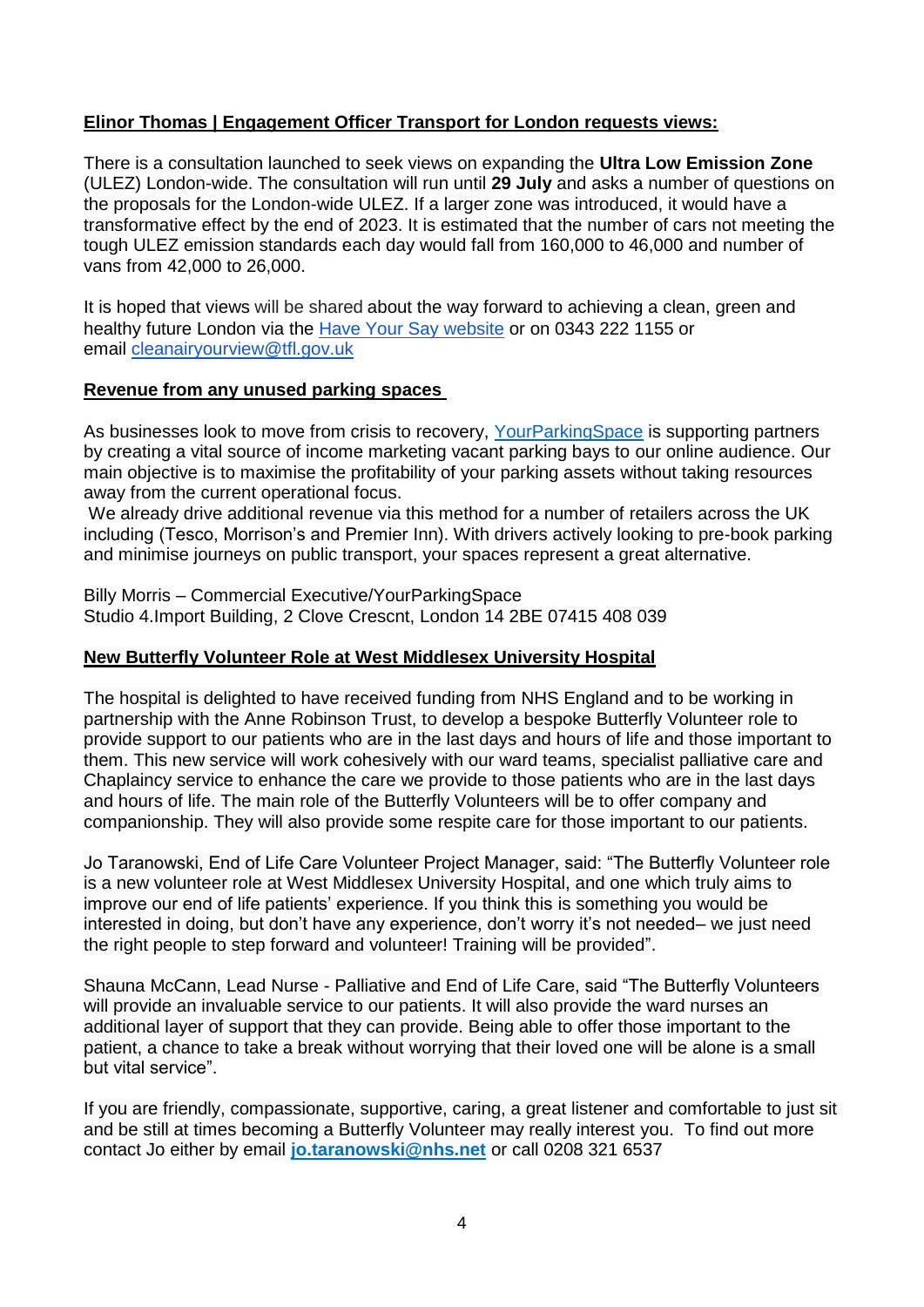## **Elinor Thomas | Engagement Officer Transport for London requests views:**

There is a [consultation](http://www.tfl.gov.uk/clean-air) launched to seek views on expanding the **Ultra Low Emission Zone** (ULEZ) London-wide. The consultation will run until **29 July** and asks a number of questions on the proposals for the London-wide ULEZ. If a larger zone was introduced, it would have a transformative effect by the end of 2023. It is estimated that the number of cars not meeting the tough ULEZ emission standards each day would fall from 160,000 to 46,000 and number of vans from 42,000 to 26,000.

It is hoped that views will be shared about the way forward to achieving a clean, green and healthy future London via the [Have Your Say website](http://www.tfl.gov.uk/clean-air) or on 0343 222 1155 or email [cleanairyourview@tfl.gov.uk](mailto:cleanairyourview@tfl.gov.uk)

#### **Revenue from any unused parking spaces**

As businesses look to move from crisis to recovery, [YourParkingSpace](http://www.yourparkingspace.co.uk/) is supporting partners by creating a vital source of income marketing vacant parking bays to our online audience. Our main objective is to maximise the profitability of your parking assets without taking resources away from the current operational focus.

We already drive additional revenue via this method for a number of retailers across the UK including (Tesco, Morrison's and Premier Inn). With drivers actively looking to pre-book parking and minimise journeys on public transport, your spaces represent a great alternative.

Billy Morris – Commercial Executive/YourParkingSpace Studio 4.Import Building, 2 Clove Crescnt, London 14 2BE 07415 408 039

### **New Butterfly Volunteer Role at West Middlesex University Hospital**

The hospital is delighted to have received funding from NHS England and to be working in partnership with the Anne Robinson Trust, to develop a bespoke Butterfly Volunteer role to provide support to our patients who are in the last days and hours of life and those important to them. This new service will work cohesively with our ward teams, specialist palliative care and Chaplaincy service to enhance the care we provide to those patients who are in the last days and hours of life. The main role of the Butterfly Volunteers will be to offer company and companionship. They will also provide some respite care for those important to our patients.

Jo Taranowski, End of Life Care Volunteer Project Manager, said: "The Butterfly Volunteer role is a new volunteer role at West Middlesex University Hospital, and one which truly aims to improve our end of life patients' experience. If you think this is something you would be interested in doing, but don't have any experience, don't worry it's not needed– we just need the right people to step forward and volunteer! Training will be provided".

Shauna McCann, Lead Nurse - Palliative and End of Life Care, said "The Butterfly Volunteers will provide an invaluable service to our patients. It will also provide the ward nurses an additional layer of support that they can provide. Being able to offer those important to the patient, a chance to take a break without worrying that their loved one will be alone is a small but vital service".

If you are friendly, compassionate, supportive, caring, a great listener and comfortable to just sit and be still at times becoming a Butterfly Volunteer may really interest you. To find out more contact Jo either by email **[jo.taranowski@nhs.net](mailto:jo.taranowski@nhs.net)** or call 0208 321 6537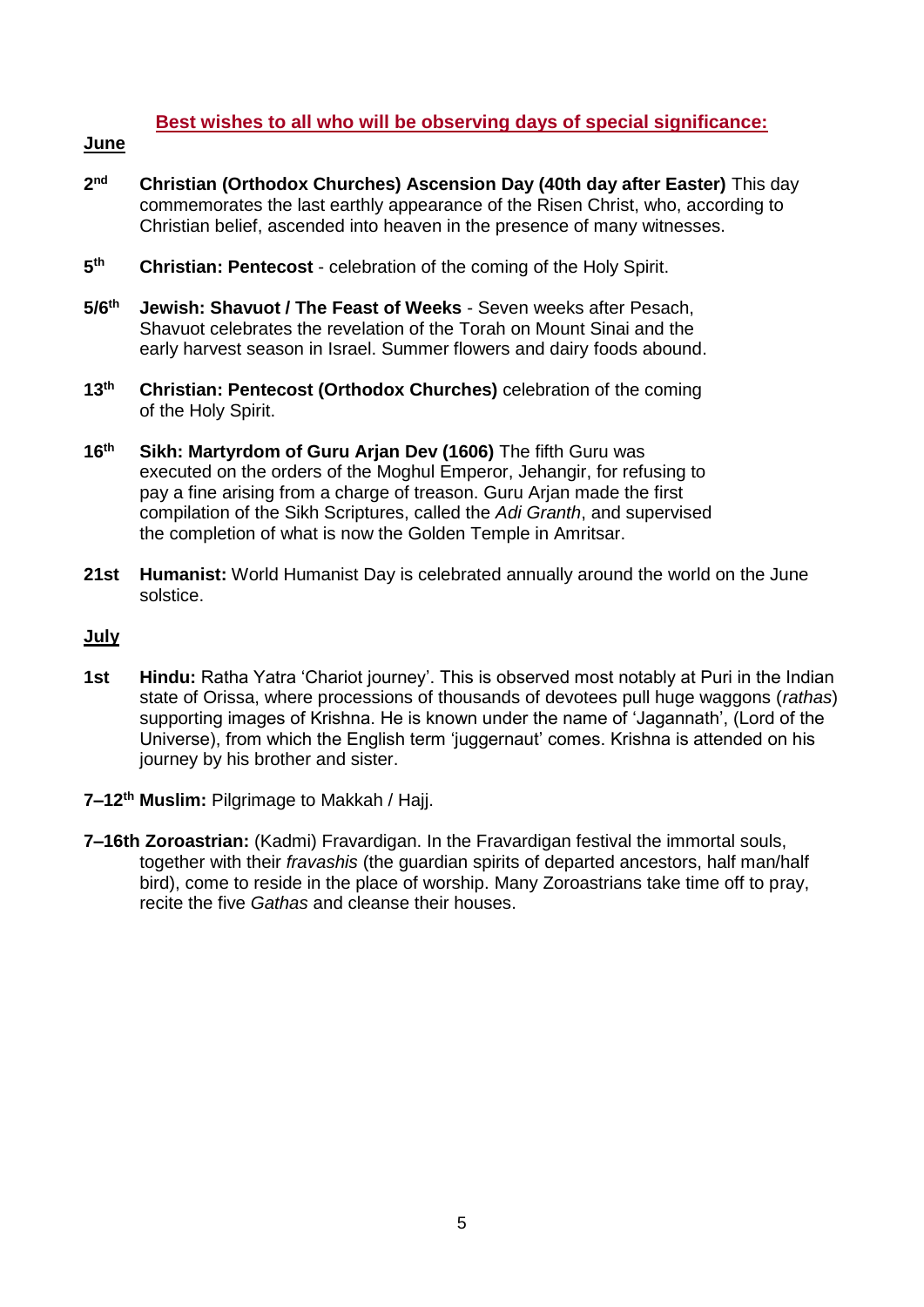### **Best wishes to all who will be observing days of special significance:**

#### **June**

- $2<sub>nd</sub>$ **nd Christian (Orthodox Churches) Ascension Day (40th day after Easter)** This day commemorates the last earthly appearance of the Risen Christ, who, according to Christian belief, ascended into heaven in the presence of many witnesses.
- **5 Christian: Pentecost** - celebration of the coming of the Holy Spirit.
- **5/6th Jewish: Shavuot / The Feast of Weeks** Seven weeks after Pesach, Shavuot celebrates the revelation of the Torah on Mount Sinai and the early harvest season in Israel. Summer flowers and dairy foods abound.
- **13th Christian: Pentecost (Orthodox Churches)** celebration of the coming of the Holy Spirit.
- **16th Sikh: Martyrdom of Guru Arjan Dev (1606)** The fifth Guru was executed on the orders of the Moghul Emperor, Jehangir, for refusing to pay a fine arising from a charge of treason. Guru Arjan made the first compilation of the Sikh Scriptures, called the *Adi Granth*, and supervised the completion of what is now the Golden Temple in Amritsar.
- **21st Humanist:** World Humanist Day is celebrated annually around the world on the June solstice.

#### **July**

- **1st** Hindu: Ratha Yatra 'Chariot journey'. This is observed most notably at Puri in the Indian state of Orissa, where processions of thousands of devotees pull huge waggons (*rathas*) supporting images of Krishna. He is known under the name of 'Jagannath', (Lord of the Universe), from which the English term 'juggernaut' comes. Krishna is attended on his journey by his brother and sister.
- **7–12th Muslim:** Pilgrimage to Makkah / Hajj.
- **7–16th Zoroastrian:** (Kadmi) Fravardigan. In the Fravardigan festival the immortal souls, together with their *fravashis* (the guardian spirits of departed ancestors, half man/half bird), come to reside in the place of worship. Many Zoroastrians take time off to pray, recite the five *Gathas* and cleanse their houses.